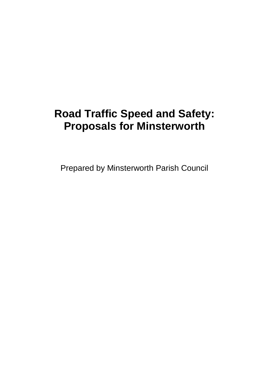# **Road Traffic Speed and Safety: Proposals for Minsterworth**

Prepared by Minsterworth Parish Council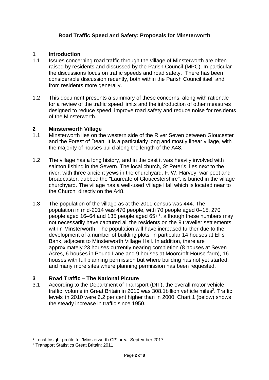## **Road Traffic Speed and Safety: Proposals for Minsterworth**

#### **1 Introduction**

- 1.1 Issues concerning road traffic through the village of Minsterworth are often raised by residents and discussed by the Parish Council (MPC). In particular the discussions focus on traffic speeds and road safety. There has been considerable discussion recently, both within the Parish Council itself and from residents more generally.
- 1.2 This document presents a summary of these concerns, along with rationale for a review of the traffic speed limits and the introduction of other measures designed to reduce speed, improve road safety and reduce noise for residents of the Minsterworth.

#### **2 Minsterworth Village**

- 1.1 Minsterworth lies on the western side of the River Seven between Gloucester and the Forest of Dean. It is a particularly long and mostly linear village, with the majority of houses build along the length of the A48.
- 1.2 The village has a long history, and in the past it was heavily involved with salmon fishing in the Severn. The local church, St Peter's, lies next to the river, with three ancient yews in the churchyard. F. W. Harvey, war poet and broadcaster, dubbed the "Laureate of Gloucestershire", is buried in the village churchyard. The village has a well-used Village Hall which is located near to the Church, directly on the A48.
- 1.3 The population of the village as at the 2011 census was 444. The population in mid-2014 was 470 people, with 70 people aged 0–15, 270 people aged 16–64 and 135 people aged 65+<sup>1</sup>, although these numbers may not necessarily have captured all the residents on the 9 traveller settlements within Minsterworth. The population will have increased further due to the development of a number of building plots, in particular 14 houses at Ellis Bank, adjacent to Minsterworth Village Hall. In addition, there are approximately 23 houses currently nearing completion (8 houses at Seven Acres, 6 houses in Pound Lane and 9 houses at Moorcroft House farm), 16 houses with full planning permission but where building has not yet started, and many more sites where planning permission has been requested.

#### **3 Road Traffic – The National Picture**

3.1 According to the Department of Transport (DfT), the overall motor vehicle traffic volume in Great Britain in 2010 was 308.1 billion vehicle miles<sup>2</sup>. Traffic levels in 2010 were 6.2 per cent higher than in 2000. Chart 1 (below) shows the steady increase in traffic since 1950.

<sup>1</sup> <sup>1</sup> Local Insight profile for 'Minsterworth CP' area: September 2017.

<sup>2</sup> Transport Statistics Great Britain: 2011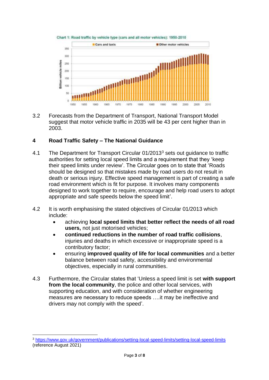



3.2 Forecasts from the Department of Transport, National Transport Model suggest that motor vehicle traffic in 2035 will be 43 per cent higher than in 2003.

## **4 Road Traffic Safety – The National Guidance**

- 4.1 The Department for Transport Circular 01/2013<sup>3</sup> sets out quidance to traffic authorities for setting local speed limits and a requirement that they 'keep their speed limits under review'. The Circular goes on to state that 'Roads should be designed so that mistakes made by road users do not result in death or serious injury. Effective speed management is part of creating a safe road environment which is fit for purpose. It involves many components designed to work together to require, encourage and help road users to adopt appropriate and safe speeds below the speed limit'.
- 4.2 It is worth emphasising the stated objectives of Circular 01/2013 which include:
	- achieving **local speed limits that better reflect the needs of all road users,** not just motorised vehicles;
	- **continued reductions in the number of road traffic collisions**, injuries and deaths in which excessive or inappropriate speed is a contributory factor;
	- ensuring **improved quality of life for local communities** and a better balance between road safety, accessibility and environmental objectives, especially in rural communities.
- 4.3 Furthermore, the Circular states that 'Unless a speed limit is set **with support from the local community**, the police and other local services, with supporting education, and with consideration of whether engineering measures are necessary to reduce speeds ….it may be ineffective and drivers may not comply with the speed'.

1

<sup>3</sup> <https://www.gov.uk/government/publications/setting-local-speed-limits/setting-local-speed-limits> (reference August 2021)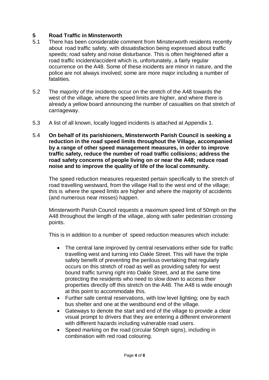## **5 Road Traffic in Minsterworth**

- 5.1 There has been considerable comment from Minsterworth residents recently about road traffic safety, with dissatisfaction being expressed about traffic speeds; road safety and noise disturbance. This is often heightened after a road traffic incident/accident which is, unfortunately, a fairly regular occurrence on the A48. Some of these incidents are minor in nature, and the police are not always involved; some are more major including a number of fatalities.
- 5.2 The majority of the incidents occur on the stretch of the A48 towards the west of the village, where the speed limits are higher, and where there is already a yellow board announcing the number of casualties on that stretch of carriageway.
- 5.3 A list of all known, locally logged incidents is attached at Appendix 1.
- 5.4 **On behalf of its parishioners, Minsterworth Parish Council is seeking a reduction in the road speed limits throughout the Village, accompanied by a range of other speed management measures, in order to improve traffic safety, reduce the number of road traffic collisions; address the road safety concerns of people living on or near the A48; reduce road noise and to improve the quality of life of the local community.**

The speed reduction measures requested pertain specifically to the stretch of road travelling westward, from the village Hall to the west end of the village; this is where the speed limits are higher and where the majority of accidents (and numerous near misses) happen.

Minsterworth Parish Council requests a maximum speed limit of 50mph on the A48 throughout the length of the village, along with safer pedestrian crossing points.

This is in addition to a number of speed reduction measures which include:

- The central lane improved by central reservations either side for traffic travelling west and turning into Oakle Street. This will have the triple safety benefit of preventing the perilous overtaking that regularly occurs on this stretch of road as well as providing safety for west bound traffic turning right into Oakle Street, and at the same time protecting the residents who need to slow down to access their properties directly off this stretch on the A48. The A48 is wide enough at this point to accommodate this.
- Further safe central reservations, with low level lighting; one by each bus shelter and one at the westbound end of the village.
- Gateways to denote the start and end of the village to provide a clear visual prompt to drivers that they are entering a different environment with different hazards including vulnerable road users.
- Speed marking on the road (circular 50mph signs), including in combination with red road colouring.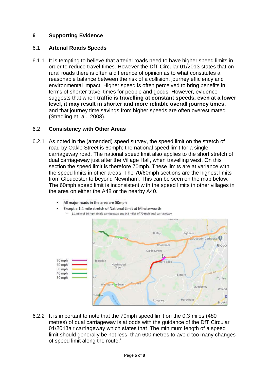## **6 Supporting Evidence**

### 6.1 **Arterial Roads Speeds**

6.1.1 It is tempting to believe that arterial roads need to have higher speed limits in order to reduce travel times. However the DfT Circular 01/2013 states that on rural roads there is often a difference of opinion as to what constitutes a reasonable balance between the risk of a collision, journey efficiency and environmental impact. Higher speed is often perceived to bring benefits in terms of shorter travel times for people and goods. However, evidence suggests that when **traffic is travelling at constant speeds, even at a lower level, it may result in shorter and more reliable overall journey times**, and that journey time savings from higher speeds are often overestimated (Stradling et al., 2008).

### 6.2 **Consistency with Other Areas**

- 6.2.1 As noted in the (amended) speed survey, the speed limit on the stretch of road by Oakle Street is 60mph; the national speed limit for a single carriageway road. The national speed limit also applies to the short stretch of dual carriageway just after the Village Hall, when travelling west. On this section the speed limit is therefore 70mph. These limits are at variance with the speed limits in other areas. The 70/60mph sections are the highest limits from Gloucester to beyond Newnham. This can be seen on the map below. The 60mph speed limit is inconsistent with the speed limits in other villages in the area on either the A48 or the nearby A40.
	- All major roads in the area are 50mph Except a 1.4 mile stretch of National Limit at Minsterworth
		- 1.1 mile of 60 mph single carriageway and 0.3 miles of 70 mph dual carriageway



6.2.2 It is important to note that the 70mph speed limit on the 0.3 miles (480 metres) of dual carriageway is at odds with the guidance of the DfT Circular 01/2013alr carriageway which states that 'The minimum length of a speed limit should generally be not less than 600 metres to avoid too many changes of speed limit along the route.'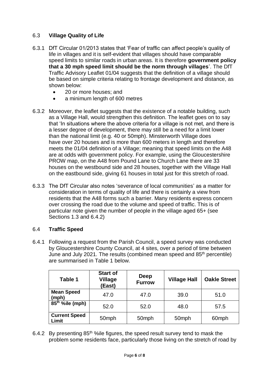## 6.3 **Village Quality of Life**

- 6.3.1 DfT Circular 01/2013 states that 'Fear of traffic can affect people's quality of life in villages and it is self-evident that villages should have comparable speed limits to similar roads in urban areas. It is therefore **government policy that a 30 mph speed limit should be the norm through villages**'. The DfT Traffic Advisory Leaflet 01/04 suggests that the definition of a village should be based on simple criteria relating to frontage development and distance, as shown below:
	- 20 or more houses; and
	- a minimum length of 600 metres
- 6.3.2 Moreover, the leaflet suggests that the existence of a notable building, such as a Village Hall, would strengthen this definition. The leaflet goes on to say that 'In situations where the above criteria for a village is not met, and there is a lesser degree of development, there may still be a need for a limit lower than the national limit (e.g. 40 or 50mph). Minsterworth Village does have over 20 houses and is more than 600 meters in length and therefore meets the 01/04 definition of a Village; meaning that speed limits on the A48 are at odds with government policy. For example, using the Gloucestershire PROW map, on the A48 from Pound Lane to Church Lane there are 33 houses on the westbound side and 28 houses, together with the Village Hall on the eastbound side, giving 61 houses in total just for this stretch of road.
- 6.3.3 The DfT Circular also notes 'severance of local communities' as a matter for consideration in terms of quality of life and there is certainly a view from residents that the A48 forms such a barrier. Many residents express concern over crossing the road due to the volume and speed of traffic. This is of particular note given the number of people in the village aged 65+ (see Sections 1.3 and 6.4.2)

## 6.4 **Traffic Speed**

6.4.1 Following a request from the Parish Council, a speed survey was conducted by Gloucestershire County Council, at 4 sites, over a period of time between June and July 2021. The results (combined mean speed and 85th percentile) are summarised in Table 1 below.

| Table 1                         | <b>Start of</b><br>Village<br>(East) | Deep<br><b>Furrow</b> | <b>Village Hall</b> | <b>Oakle Street</b> |
|---------------------------------|--------------------------------------|-----------------------|---------------------|---------------------|
| <b>Mean Speed</b><br>(mph)      | 47.0                                 | 47.0                  | 39.0                | 51.0                |
| $\overline{85}^{th}$ %ile (mph) | 52.0                                 | 52.0                  | 48.0                | 57.5                |
| <b>Current Speed</b><br>Limit   | 50mph                                | 50 <sub>mph</sub>     | 50mph               | 60 <sub>mph</sub>   |

6.4.2 By presenting  $85<sup>th</sup>$  % ile figures, the speed result survey tend to mask the problem some residents face, particularly those living on the stretch of road by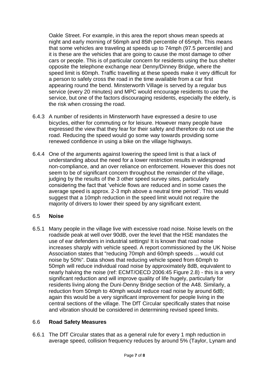Oakle Street. For example, in this area the report shows mean speeds at night and early morning of 56mph and 85th percentile of 65mph. This means that some vehicles are traveling at speeds up to 74mph (97.5 percentile) and it is these are the vehicles that are going to cause the most damage to other cars or people. This is of particular concern for residents using the bus shelter opposite the telephone exchange near Denny/Dinney Bridge, where the speed limit is 60mph. Traffic travelling at these speeds make it very difficult for a person to safely cross the road in the time available from a car first appearing round the bend. Minsterworth Village is served by a regular bus service (every 20 minutes) and MPC would encourage residents to use the service, but one of the factors discouraging residents, especially the elderly, is the risk when crossing the road.

- 6.4.3 A number of residents in Minsterworth have expressed a desire to use bicycles, either for commuting or for leisure. However many people have expressed the view that they fear for their safety and therefore do not use the road. Reducing the speed would go some way towards providing some renewed confidence in using a bike on the village highways.
- 6.4.4 One of the arguments against lowering the speed limit is that a lack of understanding about the need for a lower restriction results in widespread non-compliance, and an over reliance on enforcement. However this does not seem to be of significant concern throughout the remainder of the village, judging by the results of the 3 other speed survey sites, particularly considering the fact that 'vehicle flows are reduced and in some cases the average speed is approx. 2-3 mph above a neutral time period'. This would suggest that a 10mph reduction in the speed limit would not require the majority of drivers to lower their speed by any significant extent.

## 6.5 **Noise**

6.5.1 Many people in the village live with excessive road noise. Noise levels on the roadside peak at well over 90dB, over the level that the HSE mandates the use of ear defenders in industrial settings! It is known that road noise increases sharply with vehicle speed. A report commissioned by the UK Noise Association states that "reducing 70mph and 60mph speeds ... would cut noise by 50%". Data shows that reducing vehicle speed from 60mph to 50mph will reduce individual road noise by approximately 8dB, equivalent to nearly halving the noise (ref: ECMT/OECD 2006:45 Figure 2.8) - this is a very significant reduction and will improve quality of life hugely, particularly for residents living along the Duni-Denny Bridge section of the A48. Similarly, a reduction from 50mph to 40mph would reduce road noise by around 6dB; again this would be a very significant improvement for people living in the central sections of the village. The DfT Circular specifically states that noise and vibration should be considered in determining revised speed limits.

## 6.6 **Road Safety Measures**

6.6.1 The DfT Circular states that as a general rule for every 1 mph reduction in average speed, collision frequency reduces by around 5% (Taylor, Lynam and